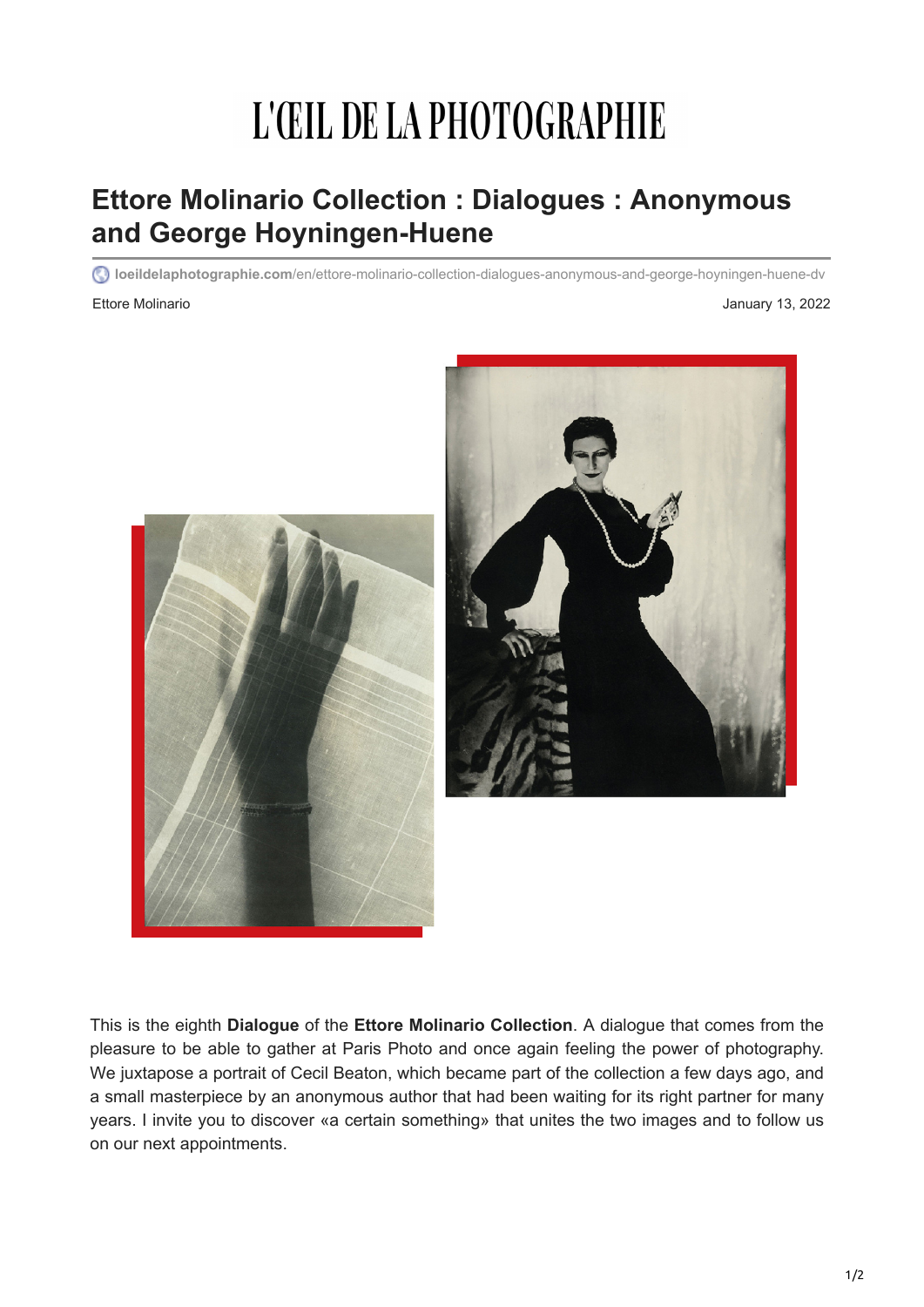## L'ŒIL DE LA PHOTOGRAPHIE

## **Ettore Molinario Collection : Dialogues : Anonymous and George Hoyningen-Huene**

**loeildelaphotographie.com**[/en/ettore-molinario-collection-dialogues-anonymous-and-george-hoyningen-huene-dv](https://loeildelaphotographie.com/en/ettore-molinario-collection-dialogues-anonymous-and-george-hoyningen-huene-dv/?utm_source=Liste+ODLP+nouvelle+version&utm_campaign=80626e730f-Edition+of+January+13+2022&utm_medium=email&utm_term=0_27b3627ade-80626e730f-%5BLIST_EMAIL_ID%5D&ct=t(Newsletter+EN+01132022))

Ettore Molinario **Accessories and Access 2022** January 13, 2022



This is the eighth **Dialogue** of the **Ettore Molinario Collection**. A dialogue that comes from the pleasure to be able to gather at Paris Photo and once again feeling the power of photography. We juxtapose a portrait of Cecil Beaton, which became part of the collection a few days ago, and a small masterpiece by an anonymous author that had been waiting for its right partner for many years. I invite you to discover «a certain something» that unites the two images and to follow us on our next appointments.